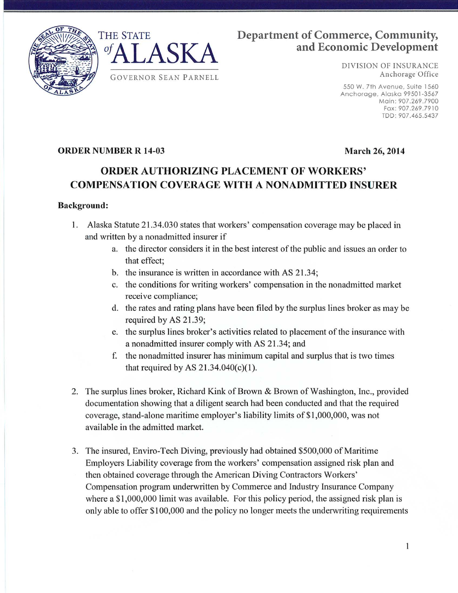

# THE STATE **Department of Commerce, Community, of A T A CIZ A** and Economic Development

DIVISION OF INSURANCE

550 W. 7th Avenue. Suite 1560 Anchorage, Alaska 99501-3567 Main: 907.269.7900 Fax: 907.269.7910 TDD: 907.465.5437

## **ORDER NUMBER R 14-03 March** 26, **2014**

# **ORDER AUTHORIZING PLACEMENT OF WORKERS' COMPENSATION COVERAGE WITH A NONADMITTED INSURER**

## **Background:**

- 1. Alaska Statute 21.34.030 states that workers' compensation coverage may be placed in and written by a nonadmitted insurer if
	- a. the director considers it in the best interest of the public and issues an order to that effect;
	- b. the insurance is written in accordance with AS 21.34;
	- c. the conditions for writing workers' compensation in the nonadmitted market receive compliance;
	- d. the rates and rating plans have been filed by the surplus lines broker as may be required by AS 21.39;
	- e. the surplus lines broker's activities related to placement of the insurance with a nonadmitted insurer comply with AS 21.34; and
	- f. the nonadmitted insurer has minimum capital and surplus that is two times that required by AS  $21.34.040(c)(1)$ .
- 2. The surplus lines broker, Richard Kink of Brown & Brown of Washington, Inc., provided documentation showing that a diligent search had been conducted and that the required coverage, stand-alone maritime employer's liability limits of \$1,000,000, was not available in the admitted market.
- 3. The insured, Enviro-Tech Diving, previously had obtained \$500,000 of Maritime Employers Liability coverage from the workers' compensation assigned risk plan and then obtained coverage through the American Diving Contractors Workers' Compensation program underwritten by Commerce and Industry Insurance Company where a \$1,000,000 limit was available. For this policy period, the assigned risk plan is only able to offer \$100,000 and the policy no longer meets the underwriting requirements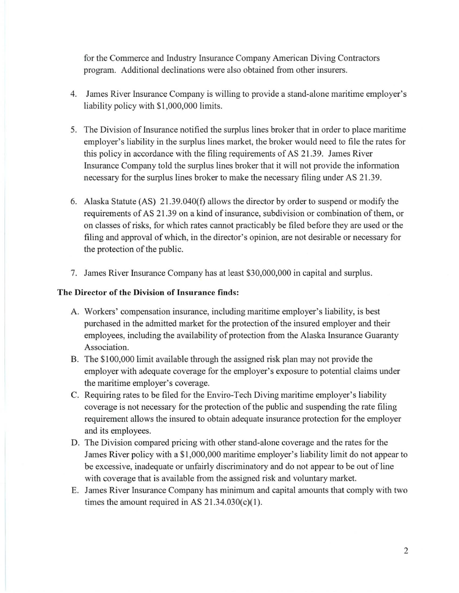for the Commerce and Industry Insurance Company American Diving Contractors program. Additional declinations were also obtained from other insurers.

- 4. James River Insurance Company is willing to provide a stand-alone maritime employer's liability policy with \$1,000,000 limits.
- 5. The Division of Insurance notified the surplus lines broker that in order to place maritime employer's liability in the surplus lines market, the broker would need to file the rates for this policy in accordance with the filing requirements of AS 21.39. James River Insurance Company told the surplus lines broker that it will not provide the information necessary for the surplus lines broker to make the necessary filing under AS 21.39.
- 6. Alaska Statute (AS) 2 l .39.040(f) allows the director by order to suspend or modify the requirements of AS 21.39 on a kind of insurance, subdivision or combination of them, or on classes of risks, for which rates cannot practicably be filed before they are used or the filing and approval of which, in the director's opinion, are not desirable or necessary for the protection of the public.
- 7. James River Insurance Company has at least \$30,000,000 in capital and surplus.

### **The Director of the Division of Insurance finds:**

- A. Workers' compensation insurance, including maritime employer's liability, is best purchased in the admitted market for the protection of the insured employer and their employees, including the availability of protection from the Alaska Insurance Guaranty Association.
- B. The \$100,000 limit available through the assigned risk plan may not provide the employer with adequate coverage for the employer's exposure to potential claims under the maritime employer's coverage.
- C. Requiring rates to be filed for the Enviro-Tech Diving maritime employer's liability coverage is not necessary for the protection of the public and suspending the rate filing requirement allows the insured to obtain adequate insurance protection for the employer and its employees.
- D. The Division compared pricing with other stand-alone coverage and the rates for the James River policy with a \$1,000,000 maritime employer's liability limit do not appear to be excessive, inadequate or unfairly discriminatory and do not appear to be out of line with coverage that is available from the assigned risk and voluntary market.
- E. James River Insurance Company has minimum and capital amounts that comply with two times the amount required in AS  $21.34.030(c)(1)$ .